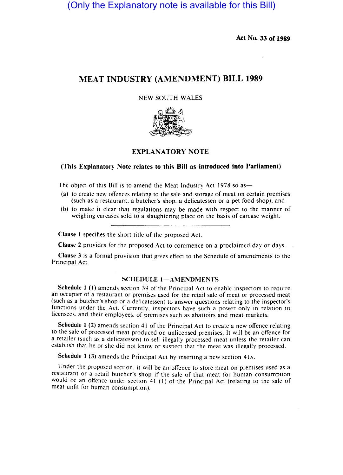(Only the Explanatory note is available for this Bill)

Act No. 33 of 1989

# MEAT INDUSTRY (AMENDMENT) BILL 1989

### NEW SOUTH WALES



## EXPLANATORY NOTE

## (This Explanatory Note relates to this Bill as introduced into Parliament)

The object of this Bill is to amend the Meat Industry Act 1978 so as—

- (a) to create new offences relating to the sale and storage of meat on certain premises (such as a restaurant. a butcher's shop, a delicatessen or a pet food shop); and
- (b) to make it clear that regulations may be made with respect to the manner of weighing carcases sold to a slaughtering place on the basis of carcase weight.

Clause I specifies the short title of the proposed Act.

Clause 2 provides for the proposed Act to commence on a proclaimed day or days.

Clause 3 is a formal provision that gives effect to the Schedule of amendments to the Principal Act.

### SCHEDULE 1-AMENDMENTS

Schedule I (I) amends section 39 of the Principal Act to enablc inspectors to require an occupier of a restaurant or premises used for the retail sale of meat or processed meat (such as a butcher's shop or a delicatessen) to answer questions relating to the inspector's functions under the Act. Currently, inspectors have such a power only in relation to licensees. and their employees. of premises such as abattoirs and meat markets.

Schedule 1 (2) amends section 41 of the Principal Act to create a new offence relating to the sale of processed meat produced on unlicensed premises. It will be an offence for a retailer (such as a delicatessen) to sell illegally processed meat unless the retailer can establish that he or she did not know or suspect that the meat was illegally processed.

Schedule 1 (3) amends the Principal Act by inserting a new section 41A.

Under the proposed section, it will be an offence to store meat on premises used as a restaurant or a retail butcher's shop if the sale of that meat for human consumption would be an offence under section 41 (1) of the Principal Act (relating to the sale of meat unfit for human consumption).